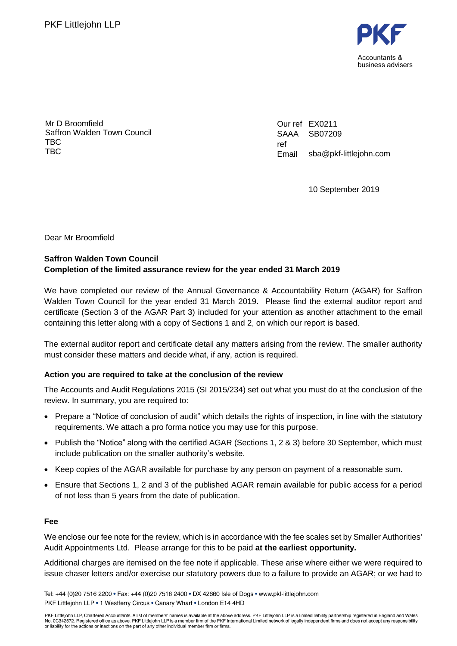

Mr D Broomfield Saffron Walden Town Council TBC TBC

Our ref EX0211 SAAA ref Email SB07209 sba@pkf-littlejohn.com

10 September 2019

Dear Mr Broomfield

## **Saffron Walden Town Council Completion of the limited assurance review for the year ended 31 March 2019**

We have completed our review of the Annual Governance & Accountability Return (AGAR) for Saffron Walden Town Council for the year ended 31 March 2019. Please find the external auditor report and certificate (Section 3 of the AGAR Part 3) included for your attention as another attachment to the email containing this letter along with a copy of Sections 1 and 2, on which our report is based.

The external auditor report and certificate detail any matters arising from the review. The smaller authority must consider these matters and decide what, if any, action is required.

### **Action you are required to take at the conclusion of the review**

The Accounts and Audit Regulations 2015 (SI 2015/234) set out what you must do at the conclusion of the review. In summary, you are required to:

- Prepare a "Notice of conclusion of audit" which details the rights of inspection, in line with the statutory requirements. We attach a pro forma notice you may use for this purpose.
- Publish the "Notice" along with the certified AGAR (Sections 1, 2 & 3) before 30 September, which must include publication on the smaller authority's website.
- Keep copies of the AGAR available for purchase by any person on payment of a reasonable sum.
- Ensure that Sections 1, 2 and 3 of the published AGAR remain available for public access for a period of not less than 5 years from the date of publication.

### **Fee**

We enclose our fee note for the review, which is in accordance with the fee scales set by Smaller Authorities' Audit Appointments Ltd. Please arrange for this to be paid **at the earliest opportunity.**

Additional charges are itemised on the fee note if applicable. These arise where either we were required to issue chaser letters and/or exercise our statutory powers due to a failure to provide an AGAR; or we had to

Tel: +44 (0)20 7516 2200 • Fax: +44 (0)20 7516 2400 • DX 42660 Isle of Dogs • www.pkf-littlejohn.com PKF Littlejohn LLP . 1 Westferry Circus . Canary Wharf . London E14 4HD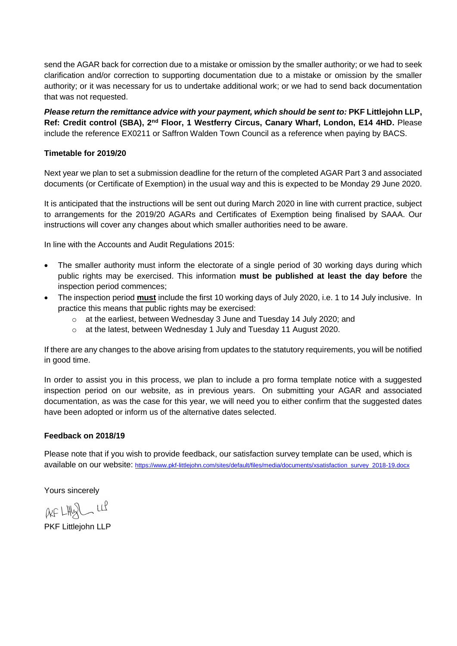send the AGAR back for correction due to a mistake or omission by the smaller authority; or we had to seek clarification and/or correction to supporting documentation due to a mistake or omission by the smaller authority; or it was necessary for us to undertake additional work; or we had to send back documentation that was not requested.

*Please return the remittance advice with your payment, which should be sent to: PKF Littlejohn LLP,* **Ref: Credit control (SBA), 2nd Floor, 1 Westferry Circus, Canary Wharf, London, E14 4HD.** Please include the reference EX0211 or Saffron Walden Town Council as a reference when paying by BACS.

### **Timetable for 2019/20**

Next year we plan to set a submission deadline for the return of the completed AGAR Part 3 and associated documents (or Certificate of Exemption) in the usual way and this is expected to be Monday 29 June 2020.

It is anticipated that the instructions will be sent out during March 2020 in line with current practice, subject to arrangements for the 2019/20 AGARs and Certificates of Exemption being finalised by SAAA. Our instructions will cover any changes about which smaller authorities need to be aware.

In line with the Accounts and Audit Regulations 2015:

- The smaller authority must inform the electorate of a single period of 30 working days during which public rights may be exercised. This information **must be published at least the day before** the inspection period commences;
- The inspection period **must** include the first 10 working days of July 2020, i.e. 1 to 14 July inclusive. In practice this means that public rights may be exercised:
	- $\circ$  at the earliest, between Wednesday 3 June and Tuesday 14 July 2020; and
	- o at the latest, between Wednesday 1 July and Tuesday 11 August 2020.

If there are any changes to the above arising from updates to the statutory requirements, you will be notified in good time.

In order to assist you in this process, we plan to include a pro forma template notice with a suggested inspection period on our website, as in previous years. On submitting your AGAR and associated documentation, as was the case for this year, we will need you to either confirm that the suggested dates have been adopted or inform us of the alternative dates selected.

### **Feedback on 2018/19**

Please note that if you wish to provide feedback, our satisfaction survey template can be used, which is available on our website: [https://www.pkf-littlejohn.com/sites/default/files/media/documents/xsatisfaction\\_survey\\_2018-19.docx](https://www.pkf-littlejohn.com/sites/default/files/media/documents/xsatisfaction_survey_2018-19.docx)

Yours sincerely

 $AF LHQL LL$ 

PKF Littlejohn LLP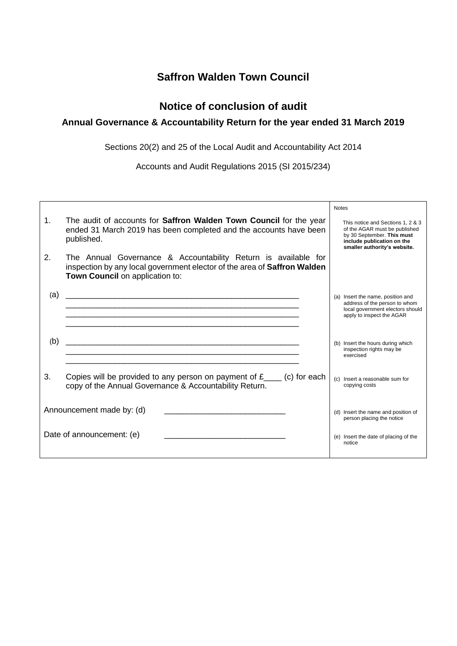# **Saffron Walden Town Council**

# **Notice of conclusion of audit**

## **Annual Governance & Accountability Return for the year ended 31 March 2019**

Sections 20(2) and 25 of the Local Audit and Accountability Act 2014

Accounts and Audit Regulations 2015 (SI 2015/234)

|                |                                                                                                                                                                               | <b>Notes</b>                                                                                                                                                   |
|----------------|-------------------------------------------------------------------------------------------------------------------------------------------------------------------------------|----------------------------------------------------------------------------------------------------------------------------------------------------------------|
| $\mathbf{1}$ . | The audit of accounts for <b>Saffron Walden Town Council</b> for the year<br>ended 31 March 2019 has been completed and the accounts have been<br>published.                  | This notice and Sections 1, 2 & 3<br>of the AGAR must be published<br>by 30 September. This must<br>include publication on the<br>smaller authority's website. |
| 2.             | The Annual Governance & Accountability Return is available for<br>inspection by any local government elector of the area of Saffron Walden<br>Town Council on application to: |                                                                                                                                                                |
| (a)            |                                                                                                                                                                               | (a) Insert the name, position and<br>address of the person to whom<br>local government electors should<br>apply to inspect the AGAR                            |
| (b)            |                                                                                                                                                                               | (b) Insert the hours during which<br>inspection rights may be<br>exercised                                                                                     |
| 3.             | Copies will be provided to any person on payment of $f_{\text{max}}$ (c) for each<br>copy of the Annual Governance & Accountability Return.                                   | (c) Insert a reasonable sum for<br>copying costs                                                                                                               |
|                | Announcement made by: (d)                                                                                                                                                     | (d) Insert the name and position of<br>person placing the notice                                                                                               |
|                | Date of announcement: (e)                                                                                                                                                     | (e) Insert the date of placing of the<br>notice                                                                                                                |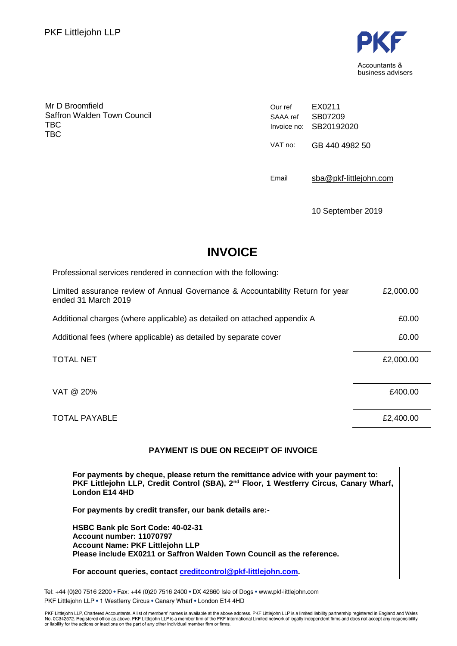

Mr D Broomfield Saffron Walden Town Council **TBC** TBC

Our ref SAAA ref Invoice no: SB20192020 EX0211 SB07209 VAT no: GB 440 4982 50

Email [sba@pkf-littlejohn.com](mailto:sba@pkf-littlejohn.com)

10 September 2019

# **INVOICE**

Professional services rendered in connection with the following: Limited assurance review of Annual Governance & Accountability Return for year ended 31 March 2019 £2,000.00 Additional charges (where applicable) as detailed on attached appendix A  $\qquad 20.00$ Additional fees (where applicable) as detailed by separate cover  $£0.00$ TOTAL NET FOR THE SECTION OF THE SECTION OF THE SECTION OF THE SECTION OF THE SECTION OF THE SECTION OF THE SECTION OF THE SECTION OF THE SECTION OF THE SECTION OF THE SECTION OF THE SECTION OF THE SECTION OF THE SECTION O  $VAT \ @ \ 20\%$ 

TOTAL PAYABLE  $\overline{2,400.00}$ 

### **PAYMENT IS DUE ON RECEIPT OF INVOICE**

**For payments by cheque, please return the remittance advice with your payment to: PKF Littlejohn LLP, Credit Control (SBA), 2nd Floor, 1 Westferry Circus, Canary Wharf, London E14 4HD**

**For payments by credit transfer, our bank details are:-**

**HSBC Bank plc Sort Code: 40-02-31 Account number: 11070797 Account Name: PKF Littlejohn LLP Please include EX0211 or Saffron Walden Town Council as the reference.**

**For account queries, contact [creditcontrol@pkf-littlejohn.com.](mailto:creditcontrol@pkf-littlejohn.com)**

Tel: +44 (0)20 7516 2200 · Fax: +44 (0)20 7516 2400 · DX 42660 Isle of Dogs · www.pkf-littlejohn.com PKF Littlejohn LLP . 1 Westferry Circus . Canary Wharf . London E14 4HD